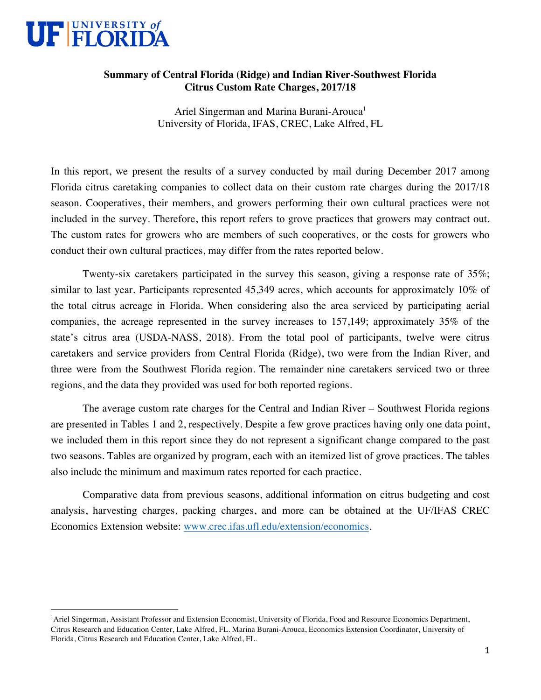

<u> 1989 - Johann Barn, mars ann an t-Amhain Aonaich ann an t-Aonaich ann an t-Aonaich ann an t-Aonaich ann an t-</u>

## **Summary of Central Florida (Ridge) and Indian River-Southwest Florida Citrus Custom Rate Charges, 2017/18**

Ariel Singerman and Marina Burani-Arouca<sup>1</sup> University of Florida, IFAS, CREC, Lake Alfred, FL

In this report, we present the results of a survey conducted by mail during December 2017 among Florida citrus caretaking companies to collect data on their custom rate charges during the 2017/18 season. Cooperatives, their members, and growers performing their own cultural practices were not included in the survey. Therefore, this report refers to grove practices that growers may contract out. The custom rates for growers who are members of such cooperatives, or the costs for growers who conduct their own cultural practices, may differ from the rates reported below.

Twenty-six caretakers participated in the survey this season, giving a response rate of 35%; similar to last year. Participants represented 45,349 acres, which accounts for approximately 10% of the total citrus acreage in Florida. When considering also the area serviced by participating aerial companies, the acreage represented in the survey increases to 157,149; approximately 35% of the state's citrus area (USDA-NASS, 2018). From the total pool of participants, twelve were citrus caretakers and service providers from Central Florida (Ridge), two were from the Indian River, and three were from the Southwest Florida region. The remainder nine caretakers serviced two or three regions, and the data they provided was used for both reported regions.

The average custom rate charges for the Central and Indian River – Southwest Florida regions are presented in Tables 1 and 2, respectively. Despite a few grove practices having only one data point, we included them in this report since they do not represent a significant change compared to the past two seasons. Tables are organized by program, each with an itemized list of grove practices. The tables also include the minimum and maximum rates reported for each practice.

Comparative data from previous seasons, additional information on citrus budgeting and cost analysis, harvesting charges, packing charges, and more can be obtained at the UF/IFAS CREC Economics Extension website: www.crec.ifas.ufl.edu/extension/economics.

<sup>&</sup>lt;sup>1</sup> Ariel Singerman, Assistant Professor and Extension Economist, University of Florida, Food and Resource Economics Department, Citrus Research and Education Center, Lake Alfred, FL. Marina Burani-Arouca, Economics Extension Coordinator, University of Florida, Citrus Research and Education Center, Lake Alfred, FL.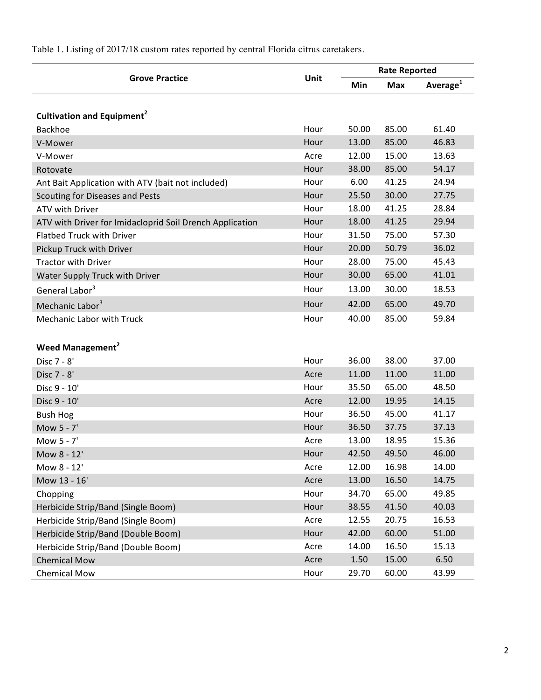|                                                          | Unit | <b>Rate Reported</b> |            |                |
|----------------------------------------------------------|------|----------------------|------------|----------------|
| <b>Grove Practice</b>                                    |      | Min                  | <b>Max</b> | Average $^{1}$ |
|                                                          |      |                      |            |                |
| Cultivation and Equipment <sup>2</sup>                   |      |                      |            |                |
| <b>Backhoe</b>                                           | Hour | 50.00                | 85.00      | 61.40          |
| V-Mower                                                  | Hour | 13.00                | 85.00      | 46.83          |
| V-Mower                                                  | Acre | 12.00                | 15.00      | 13.63          |
| Rotovate                                                 | Hour | 38.00                | 85.00      | 54.17          |
| Ant Bait Application with ATV (bait not included)        | Hour | 6.00                 | 41.25      | 24.94          |
| Scouting for Diseases and Pests                          | Hour | 25.50                | 30.00      | 27.75          |
| ATV with Driver                                          | Hour | 18.00                | 41.25      | 28.84          |
| ATV with Driver for Imidacloprid Soil Drench Application | Hour | 18.00                | 41.25      | 29.94          |
| <b>Flatbed Truck with Driver</b>                         | Hour | 31.50                | 75.00      | 57.30          |
| Pickup Truck with Driver                                 | Hour | 20.00                | 50.79      | 36.02          |
| <b>Tractor with Driver</b>                               | Hour | 28.00                | 75.00      | 45.43          |
| Water Supply Truck with Driver                           | Hour | 30.00                | 65.00      | 41.01          |
| General Labor <sup>3</sup>                               | Hour | 13.00                | 30.00      | 18.53          |
| Mechanic Labor <sup>3</sup>                              | Hour | 42.00                | 65.00      | 49.70          |
| <b>Mechanic Labor with Truck</b>                         | Hour | 40.00                | 85.00      | 59.84          |
|                                                          |      |                      |            |                |
| Weed Management <sup>2</sup>                             |      |                      |            |                |
| Disc 7 - 8'                                              | Hour | 36.00                | 38.00      | 37.00          |
| Disc 7 - 8'                                              | Acre | 11.00                | 11.00      | 11.00          |
| Disc 9 - 10'                                             | Hour | 35.50                | 65.00      | 48.50          |
| Disc 9 - 10'                                             | Acre | 12.00                | 19.95      | 14.15          |
| <b>Bush Hog</b>                                          | Hour | 36.50                | 45.00      | 41.17          |
| Mow 5 - 7'                                               | Hour | 36.50                | 37.75      | 37.13          |
| Mow 5 - 7'                                               | Acre | 13.00                | 18.95      | 15.36          |
| Mow 8 - 12'                                              | Hour | 42.50                | 49.50      | 46.00          |
| Mow 8 - 12'                                              | Acre | 12.00                | 16.98      | 14.00          |
| Mow 13 - 16'                                             | Acre | 13.00                | 16.50      | 14.75          |
| Chopping                                                 | Hour | 34.70                | 65.00      | 49.85          |
| Herbicide Strip/Band (Single Boom)                       | Hour | 38.55                | 41.50      | 40.03          |
| Herbicide Strip/Band (Single Boom)                       | Acre | 12.55                | 20.75      | 16.53          |
| Herbicide Strip/Band (Double Boom)                       | Hour | 42.00                | 60.00      | 51.00          |
| Herbicide Strip/Band (Double Boom)                       | Acre | 14.00                | 16.50      | 15.13          |
| <b>Chemical Mow</b>                                      | Acre | 1.50                 | 15.00      | 6.50           |
| <b>Chemical Mow</b>                                      | Hour | 29.70                | 60.00      | 43.99          |

Table 1. Listing of 2017/18 custom rates reported by central Florida citrus caretakers.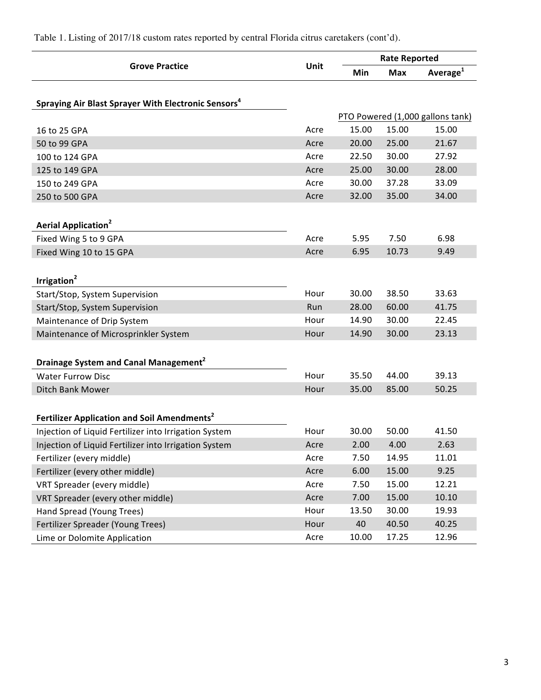|                                                                 | Unit | <b>Rate Reported</b>             |            |                      |  |
|-----------------------------------------------------------------|------|----------------------------------|------------|----------------------|--|
| <b>Grove Practice</b>                                           |      | Min                              | <b>Max</b> | Average <sup>1</sup> |  |
|                                                                 |      |                                  |            |                      |  |
| Spraying Air Blast Sprayer With Electronic Sensors <sup>4</sup> |      |                                  |            |                      |  |
|                                                                 |      | PTO Powered (1,000 gallons tank) |            |                      |  |
| 16 to 25 GPA                                                    | Acre | 15.00                            | 15.00      | 15.00                |  |
| 50 to 99 GPA                                                    | Acre | 20.00                            | 25.00      | 21.67                |  |
| 100 to 124 GPA                                                  | Acre | 22.50                            | 30.00      | 27.92                |  |
| 125 to 149 GPA                                                  | Acre | 25.00                            | 30.00      | 28.00                |  |
| 150 to 249 GPA                                                  | Acre | 30.00                            | 37.28      | 33.09                |  |
| 250 to 500 GPA                                                  | Acre | 32.00                            | 35.00      | 34.00                |  |
|                                                                 |      |                                  |            |                      |  |
| Aerial Application <sup>2</sup>                                 |      |                                  |            |                      |  |
| Fixed Wing 5 to 9 GPA                                           | Acre | 5.95                             | 7.50       | 6.98                 |  |
| Fixed Wing 10 to 15 GPA                                         | Acre | 6.95                             | 10.73      | 9.49                 |  |
|                                                                 |      |                                  |            |                      |  |
| Irrigation <sup>2</sup>                                         |      |                                  |            |                      |  |
| Start/Stop, System Supervision                                  | Hour | 30.00                            | 38.50      | 33.63                |  |
| Start/Stop, System Supervision                                  | Run  | 28.00                            | 60.00      | 41.75                |  |
| Maintenance of Drip System                                      | Hour | 14.90                            | 30.00      | 22.45                |  |
| Maintenance of Microsprinkler System                            | Hour | 14.90                            | 30.00      | 23.13                |  |
|                                                                 |      |                                  |            |                      |  |
| Drainage System and Canal Management <sup>2</sup>               |      |                                  |            |                      |  |
| <b>Water Furrow Disc</b>                                        | Hour | 35.50                            | 44.00      | 39.13                |  |
| Ditch Bank Mower                                                | Hour | 35.00                            | 85.00      | 50.25                |  |
|                                                                 |      |                                  |            |                      |  |
| Fertilizer Application and Soil Amendments <sup>2</sup>         |      |                                  |            |                      |  |
| Injection of Liquid Fertilizer into Irrigation System           | Hour | 30.00                            | 50.00      | 41.50                |  |
| Injection of Liquid Fertilizer into Irrigation System           | Acre | 2.00                             | 4.00       | 2.63                 |  |
| Fertilizer (every middle)                                       | Acre | 7.50                             | 14.95      | 11.01                |  |
| Fertilizer (every other middle)                                 | Acre | 6.00                             | 15.00      | 9.25                 |  |
| VRT Spreader (every middle)                                     | Acre | 7.50                             | 15.00      | 12.21                |  |
| VRT Spreader (every other middle)                               | Acre | 7.00                             | 15.00      | 10.10                |  |
| Hand Spread (Young Trees)                                       | Hour | 13.50                            | 30.00      | 19.93                |  |
| Fertilizer Spreader (Young Trees)                               | Hour | 40                               | 40.50      | 40.25                |  |
| Lime or Dolomite Application                                    | Acre | 10.00                            | 17.25      | 12.96                |  |

Table 1. Listing of 2017/18 custom rates reported by central Florida citrus caretakers (cont'd).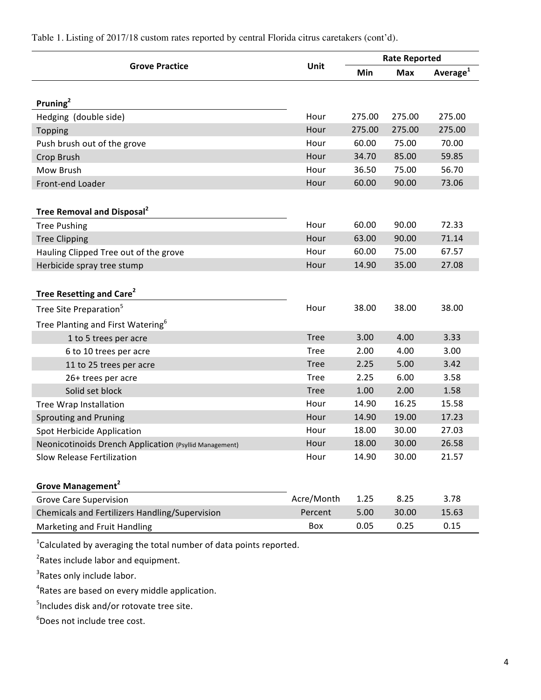|                                                        | Unit        | <b>Rate Reported</b> |            |                      |
|--------------------------------------------------------|-------------|----------------------|------------|----------------------|
| <b>Grove Practice</b>                                  |             | Min                  | <b>Max</b> | Average <sup>1</sup> |
|                                                        |             |                      |            |                      |
| Pruning <sup>2</sup>                                   |             |                      |            |                      |
| Hedging (double side)                                  | Hour        | 275.00               | 275.00     | 275.00               |
| Topping                                                | Hour        | 275.00               | 275.00     | 275.00               |
| Push brush out of the grove                            | Hour        | 60.00                | 75.00      | 70.00                |
| Crop Brush                                             | Hour        | 34.70                | 85.00      | 59.85                |
| Mow Brush                                              | Hour        | 36.50                | 75.00      | 56.70                |
| Front-end Loader                                       | Hour        | 60.00                | 90.00      | 73.06                |
|                                                        |             |                      |            |                      |
| Tree Removal and Disposal <sup>2</sup>                 |             |                      |            |                      |
| <b>Tree Pushing</b>                                    | Hour        | 60.00                | 90.00      | 72.33                |
| <b>Tree Clipping</b>                                   | Hour        | 63.00                | 90.00      | 71.14                |
| Hauling Clipped Tree out of the grove                  | Hour        | 60.00                | 75.00      | 67.57                |
| Herbicide spray tree stump                             | Hour        | 14.90                | 35.00      | 27.08                |
|                                                        |             |                      |            |                      |
| Tree Resetting and Care <sup>2</sup>                   |             |                      |            |                      |
| Tree Site Preparation <sup>5</sup>                     | Hour        | 38.00                | 38.00      | 38.00                |
| Tree Planting and First Watering <sup>6</sup>          |             |                      |            |                      |
| 1 to 5 trees per acre                                  | <b>Tree</b> | 3.00                 | 4.00       | 3.33                 |
| 6 to 10 trees per acre                                 | <b>Tree</b> | 2.00                 | 4.00       | 3.00                 |
| 11 to 25 trees per acre                                | <b>Tree</b> | 2.25                 | 5.00       | 3.42                 |
| 26+ trees per acre                                     | <b>Tree</b> | 2.25                 | 6.00       | 3.58                 |
| Solid set block                                        | <b>Tree</b> | 1.00                 | 2.00       | 1.58                 |
| <b>Tree Wrap Installation</b>                          | Hour        | 14.90                | 16.25      | 15.58                |
| <b>Sprouting and Pruning</b>                           | Hour        | 14.90                | 19.00      | 17.23                |
| <b>Spot Herbicide Application</b>                      | Hour        | 18.00                | 30.00      | 27.03                |
| Neonicotinoids Drench Application (Psyllid Management) | Hour        | 18.00                | 30.00      | 26.58                |
| <b>Slow Release Fertilization</b>                      | Hour        | 14.90                | 30.00      | 21.57                |
|                                                        |             |                      |            |                      |
| <b>Grove Management<sup>2</sup></b>                    |             |                      |            |                      |
| <b>Grove Care Supervision</b>                          | Acre/Month  | 1.25                 | 8.25       | 3.78                 |
| Chemicals and Fertilizers Handling/Supervision         | Percent     | 5.00                 | 30.00      | 15.63                |
| Marketing and Fruit Handling                           | Box         | 0.05                 | 0.25       | 0.15                 |
|                                                        |             |                      |            |                      |

Table 1. Listing of 2017/18 custom rates reported by central Florida citrus caretakers (cont'd).

 $^{1}$ Calculated by averaging the total number of data points reported.

 ${}^{2}$ Rates include labor and equipment.

<sup>3</sup>Rates only include labor.

<sup>4</sup>Rates are based on every middle application.

<sup>5</sup>Includes disk and/or rotovate tree site.

 $^6$ Does not include tree cost.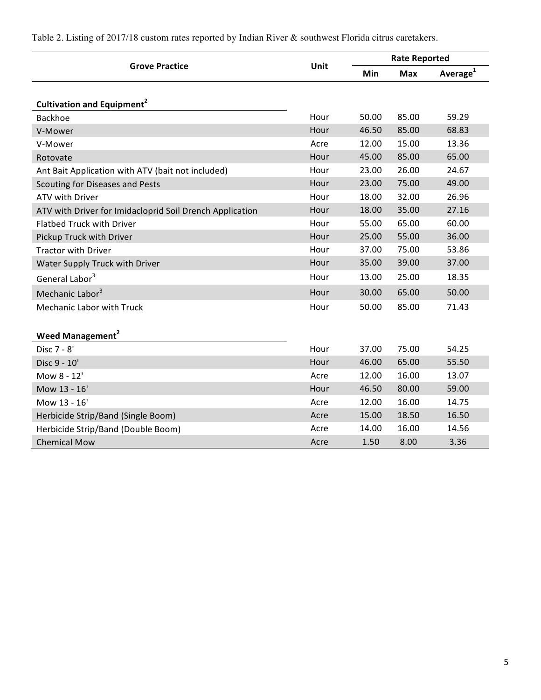|                                                          |      | <b>Rate Reported</b> |            |                      |  |
|----------------------------------------------------------|------|----------------------|------------|----------------------|--|
| <b>Grove Practice</b>                                    | Unit | <b>Min</b>           | <b>Max</b> | Average <sup>1</sup> |  |
|                                                          |      |                      |            |                      |  |
| Cultivation and Equipment <sup>2</sup>                   |      |                      |            |                      |  |
| <b>Backhoe</b>                                           | Hour | 50.00                | 85.00      | 59.29                |  |
| V-Mower                                                  | Hour | 46.50                | 85.00      | 68.83                |  |
| V-Mower                                                  | Acre | 12.00                | 15.00      | 13.36                |  |
| Rotovate                                                 | Hour | 45.00                | 85.00      | 65.00                |  |
| Ant Bait Application with ATV (bait not included)        | Hour | 23.00                | 26.00      | 24.67                |  |
| Scouting for Diseases and Pests                          | Hour | 23.00                | 75.00      | 49.00                |  |
| <b>ATV with Driver</b>                                   | Hour | 18.00                | 32.00      | 26.96                |  |
| ATV with Driver for Imidacloprid Soil Drench Application | Hour | 18.00                | 35.00      | 27.16                |  |
| <b>Flatbed Truck with Driver</b>                         | Hour | 55.00                | 65.00      | 60.00                |  |
| Pickup Truck with Driver                                 | Hour | 25.00                | 55.00      | 36.00                |  |
| <b>Tractor with Driver</b>                               | Hour | 37.00                | 75.00      | 53.86                |  |
| Water Supply Truck with Driver                           | Hour | 35.00                | 39.00      | 37.00                |  |
| General Labor <sup>3</sup>                               | Hour | 13.00                | 25.00      | 18.35                |  |
| Mechanic Labor <sup>3</sup>                              | Hour | 30.00                | 65.00      | 50.00                |  |
| <b>Mechanic Labor with Truck</b>                         | Hour | 50.00                | 85.00      | 71.43                |  |
|                                                          |      |                      |            |                      |  |
| <b>Weed Management<sup>2</sup></b>                       |      |                      |            |                      |  |
| Disc 7 - 8'                                              | Hour | 37.00                | 75.00      | 54.25                |  |
| Disc 9 - 10'                                             | Hour | 46.00                | 65.00      | 55.50                |  |
| Mow 8 - 12'                                              | Acre | 12.00                | 16.00      | 13.07                |  |
| Mow 13 - 16'                                             | Hour | 46.50                | 80.00      | 59.00                |  |
| Mow 13 - 16'                                             | Acre | 12.00                | 16.00      | 14.75                |  |
| Herbicide Strip/Band (Single Boom)                       | Acre | 15.00                | 18.50      | 16.50                |  |
| Herbicide Strip/Band (Double Boom)                       | Acre | 14.00                | 16.00      | 14.56                |  |
| <b>Chemical Mow</b>                                      | Acre | 1.50                 | 8.00       | 3.36                 |  |

Table 2. Listing of 2017/18 custom rates reported by Indian River & southwest Florida citrus caretakers.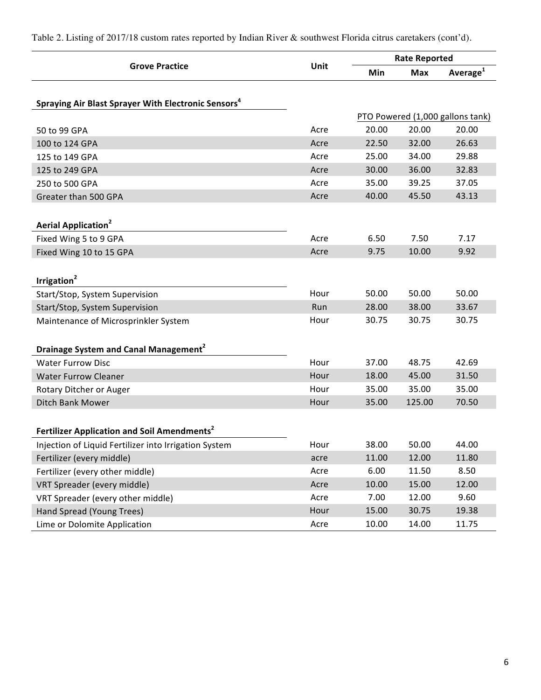|                                                                 |      | <b>Rate Reported</b> |            |                                  |
|-----------------------------------------------------------------|------|----------------------|------------|----------------------------------|
| <b>Grove Practice</b>                                           | Unit | Min                  | <b>Max</b> | Average <sup>1</sup>             |
| Spraying Air Blast Sprayer With Electronic Sensors <sup>4</sup> |      |                      |            |                                  |
|                                                                 |      |                      |            | PTO Powered (1,000 gallons tank) |
| 50 to 99 GPA                                                    | Acre | 20.00                | 20.00      | 20.00                            |
| 100 to 124 GPA                                                  | Acre | 22.50                | 32.00      | 26.63                            |
| 125 to 149 GPA                                                  | Acre | 25.00                | 34.00      | 29.88                            |
| 125 to 249 GPA                                                  | Acre | 30.00                | 36.00      | 32.83                            |
| 250 to 500 GPA                                                  | Acre | 35.00                | 39.25      | 37.05                            |
| Greater than 500 GPA                                            | Acre | 40.00                | 45.50      | 43.13                            |
| <b>Aerial Application<sup>2</sup></b>                           |      |                      |            |                                  |
| Fixed Wing 5 to 9 GPA                                           | Acre | 6.50                 | 7.50       | 7.17                             |
| Fixed Wing 10 to 15 GPA                                         | Acre | 9.75                 | 10.00      | 9.92                             |
| Irrigation <sup>2</sup>                                         |      |                      |            |                                  |
| Start/Stop, System Supervision                                  | Hour | 50.00                | 50.00      | 50.00                            |
| Start/Stop, System Supervision                                  | Run  | 28.00                | 38.00      | 33.67                            |
| Maintenance of Microsprinkler System                            | Hour | 30.75                | 30.75      | 30.75                            |
| Drainage System and Canal Management <sup>2</sup>               |      |                      |            |                                  |
| <b>Water Furrow Disc</b>                                        | Hour | 37.00                | 48.75      | 42.69                            |
| <b>Water Furrow Cleaner</b>                                     | Hour | 18.00                | 45.00      | 31.50                            |
| Rotary Ditcher or Auger                                         | Hour | 35.00                | 35.00      | 35.00                            |
| Ditch Bank Mower                                                | Hour | 35.00                | 125.00     | 70.50                            |
| Fertilizer Application and Soil Amendments <sup>2</sup>         |      |                      |            |                                  |
| Injection of Liquid Fertilizer into Irrigation System           | Hour | 38.00                | 50.00      | 44.00                            |
| Fertilizer (every middle)                                       | acre | 11.00                | 12.00      | 11.80                            |
| Fertilizer (every other middle)                                 | Acre | 6.00                 | 11.50      | 8.50                             |
| VRT Spreader (every middle)                                     | Acre | 10.00                | 15.00      | 12.00                            |
| VRT Spreader (every other middle)                               | Acre | 7.00                 | 12.00      | 9.60                             |
| Hand Spread (Young Trees)                                       | Hour | 15.00                | 30.75      | 19.38                            |
| Lime or Dolomite Application                                    | Acre | 10.00                | 14.00      | 11.75                            |

Table 2. Listing of 2017/18 custom rates reported by Indian River & southwest Florida citrus caretakers (cont'd).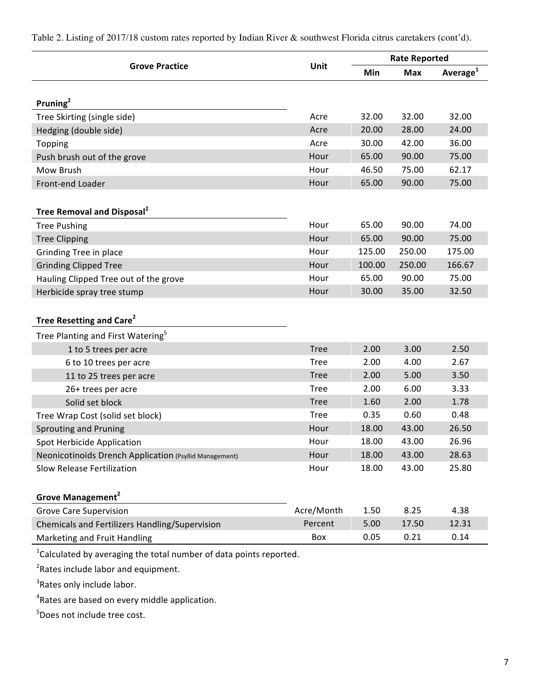**Grove Practice Cancel Exercise Exercise Server Unit Rate Reported Rate Reported Min Max Average<sup>1</sup> Pruning<sup>2</sup>** Tree Skirting (single side) and the state of the Skirting (single side) and the Same Same School 32.00 32.00 Hedging (double side) and the control of the control of the control of the control of the control of the control of the control of the control of the control of the control of the control of the control of the control of t Topping Acre 30.00 42.00 36.00 Push brush out of the grove extended the state of the grove Hour 65.00 90.00 75.00 Mow Brush Hour 46.50 75.00 62.17 Front-end Loader **Front-end Loader Hour** 65.00 90.00 75.00 **Tree Removal and Disposal<sup>2</sup>** Tree Pushing **Tree Pushing 12.00 CONSERVING TREE PUSHING CONSERVANCE CONSERVANCE CONSERVANCE CONSERVANCE CONSERVANCE CONSERVANCE CONSERVANCE CONSERVANCE CONSERVANCE CONSERVANCE CONSERVANCE CONSERVANCE CONSERVANCE CONSE** Tree Clipping **Tree** Clipping **Hour** 65.00 90.00 75.00 Grinding Tree in place and the state of the Hour 125.00 250.00 175.00 Grinding Clipped Tree **Hour** 100.00 250.00 166.67 Hauling Clipped Tree out of the grove The Manuscription Courrel Mour 65.00 90.00 75.00 Herbicide spray tree stump and the stump of the studies of the Hour 30.00 35.00 32.50 **Tree Resetting and Care<sup>2</sup>** Tree Planting and First Watering<sup>5</sup> 1 to 5 trees per acre and the control of the control of the control of the control of the control of the control of the control of the control of the control of the control of the control of the control of the control of t 6 to 10 trees per acre and the contract to the contract of the Contract of the Contract of the Contract of the Contract of the Contract of the Contract of the Contract of the Contract of the Contract of the Contract of the 11 to 25 trees per acre and the contract of the contract of the contract of the contract of the contract of the contract of the contract of the contract of the contract of the contract of the contract of the contract of th 26+ trees per acre and the contract of the contract of the contract of the contract of the contract of the contract of the contract of the contract of the contract of the contract of the contract of the contract of the con Solid set block and the contract of the contract of the Tree and 1.60 and 2.00 1.78 Tree Wrap Cost (solid set block) Tree 0.35 0.60 0.48 Sprouting and Pruning **Exercise 26.50** and 26.50 and 26.50 and 26.50 and 26.50 and 26.50 and 26.50 and 26.50 and 26.50 and 26.50 and 26.50 and 26.50 and 26.50 and 26.50 and 26.50 and 26.50 and 26.50 and 26.50 and 26.50 and Spot Herbicide Application and the state of the Hour 18.00 43.00 26.96 Neonicotinoids Drench Application (Psyllid Management) Mour 18.00 43.00 28.63 Slow Release Fertilization and the state of the Hour 18.00 43.00 25.80 **Grove Management<sup>2</sup>** Grove Care Supervision and the Care of Acre/Month 1.50 8.25 4.38 Chemicals and Fertilizers Handling/Supervision Percent 5.00 17.50 12.31 Marketing and Fruit Handling and Executive Controller and Box 0.05 0.21 0.14

Table 2. Listing of 2017/18 custom rates reported by Indian River & southwest Florida citrus caretakers (cont'd).

 $^{1}$ Calculated by averaging the total number of data points reported.

 $2$ Rates include labor and equipment.

<sup>3</sup>Rates only include labor.

 $4$ Rates are based on every middle application.

<sup>5</sup>Does not include tree cost.